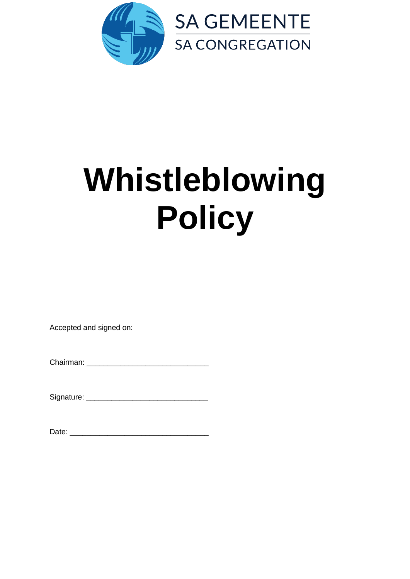

# **Whistleblowing Policy**

Accepted and signed on:

Signature: \_\_\_\_\_\_\_\_\_\_\_\_\_\_\_\_\_\_\_\_\_\_\_\_\_\_\_\_\_

Date: \_\_\_\_\_\_\_\_\_\_\_\_\_\_\_\_\_\_\_\_\_\_\_\_\_\_\_\_\_\_\_\_\_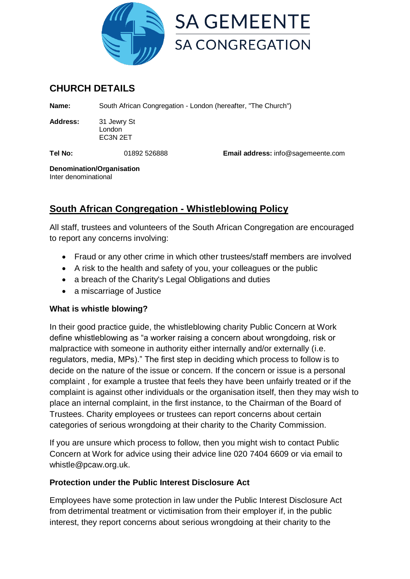

# **CHURCH DETAILS**

**Name:** South African Congregation - London (hereafter, "The Church")

**Address:** 31 Jewry St London EC3N 2ET

**Tel No:** 01892 526888 **Email address:** info@sagemeente.com

**Denomination/Organisation** Inter denominational

# **South African Congregation - Whistleblowing Policy**

All staff, trustees and volunteers of the South African Congregation are encouraged to report any concerns involving:

- Fraud or any other crime in which other trustees/staff members are involved
- A risk to the health and safety of you, your colleagues or the public
- a breach of the Charity's Legal Obligations and duties
- a miscarriage of Justice

# **What is whistle blowing?**

In their good practice guide, the whistleblowing charity Public Concern at Work define whistleblowing as "a worker raising a concern about wrongdoing, risk or malpractice with someone in authority either internally and/or externally (i.e. regulators, media, MPs)." The first step in deciding which process to follow is to decide on the nature of the issue or concern. If the concern or issue is a personal complaint , for example a trustee that feels they have been unfairly treated or if the complaint is against other individuals or the organisation itself, then they may wish to place an internal complaint, in the first instance, to the Chairman of the Board of Trustees. Charity employees or trustees can report concerns about certain categories of serious wrongdoing at their charity to the Charity Commission.

If you are unsure which process to follow, then you might wish to contact Public Concern at Work for advice using their advice line 020 7404 6609 or via email to whistle@pcaw.org.uk.

# **Protection under the Public Interest Disclosure Act**

Employees have some protection in law under the Public Interest Disclosure Act from detrimental treatment or victimisation from their employer if, in the public interest, they report concerns about serious wrongdoing at their charity to the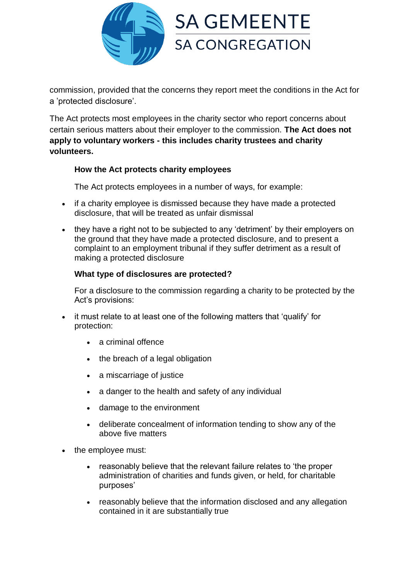

commission, provided that the concerns they report meet the conditions in the Act for a 'protected disclosure'.

The Act protects most employees in the charity sector who report concerns about certain serious matters about their employer to the commission. **The Act does not apply to voluntary workers - this includes charity trustees and charity volunteers.**

#### **How the Act protects charity employees**

The Act protects employees in a number of ways, for example:

- if a charity employee is dismissed because they have made a protected disclosure, that will be treated as unfair dismissal
- they have a right not to be subjected to any 'detriment' by their employers on the ground that they have made a protected disclosure, and to present a complaint to an employment tribunal if they suffer detriment as a result of making a protected disclosure

#### **What type of disclosures are protected?**

For a disclosure to the commission regarding a charity to be protected by the Act's provisions:

- it must relate to at least one of the following matters that 'qualify' for protection:
	- a criminal offence
	- the breach of a legal obligation
	- a miscarriage of justice
	- a danger to the health and safety of any individual
	- damage to the environment
	- deliberate concealment of information tending to show any of the above five matters
- the employee must:
	- reasonably believe that the relevant failure relates to 'the proper administration of charities and funds given, or held, for charitable purposes'
	- reasonably believe that the information disclosed and any allegation contained in it are substantially true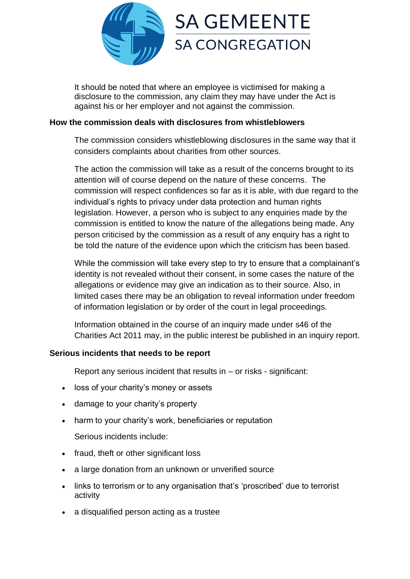

It should be noted that where an employee is victimised for making a disclosure to the commission, any claim they may have under the Act is against his or her employer and not against the commission.

#### **How the commission deals with disclosures from whistleblowers**

The commission considers whistleblowing disclosures in the same way that it considers complaints about charities from other sources.

The action the commission will take as a result of the concerns brought to its attention will of course depend on the nature of these concerns. The commission will respect confidences so far as it is able, with due regard to the individual's rights to privacy under data protection and human rights legislation. However, a person who is subject to any enquiries made by the commission is entitled to know the nature of the allegations being made. Any person criticised by the commission as a result of any enquiry has a right to be told the nature of the evidence upon which the criticism has been based.

While the commission will take every step to try to ensure that a complainant's identity is not revealed without their consent, in some cases the nature of the allegations or evidence may give an indication as to their source. Also, in limited cases there may be an obligation to reveal information under freedom of information legislation or by order of the court in legal proceedings.

Information obtained in the course of an inquiry made under s46 of the Charities Act 2011 may, in the public interest be published in an inquiry report.

# **Serious incidents that needs to be report**

Report any serious incident that results in – or risks - significant:

- loss of your charity's money or assets
- damage to your charity's property
- harm to your charity's work, beneficiaries or reputation

Serious incidents include:

- fraud, theft or other significant loss
- a large donation from an unknown or unverified source
- links to terrorism or to any organisation that's 'proscribed' due to terrorist activity
- a disqualified person acting as a trustee